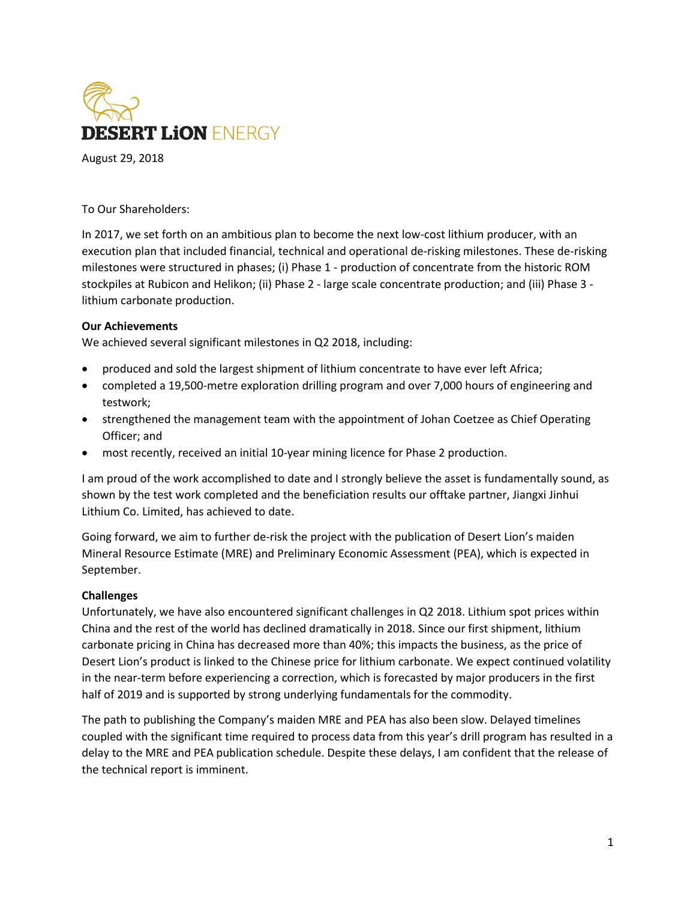

August 29, 2018

To Our Shareholders:

In 2017, we set forth on an ambitious plan to become the next low-cost lithium producer, with an execution plan that included financial, technical and operational de-risking milestones. These de-risking milestones were structured in phases; (i) Phase 1 - production of concentrate from the historic ROM stockpiles at Rubicon and Helikon; (ii) Phase 2 - large scale concentrate production; and (iii) Phase 3 lithium carbonate production.

## **Our Achievements**

We achieved several significant milestones in Q2 2018, including:

- produced and sold the largest shipment of lithium concentrate to have ever left Africa;
- completed a 19,500-metre exploration drilling program and over 7,000 hours of engineering and testwork;
- strengthened the management team with the appointment of Johan Coetzee as Chief Operating Officer; and
- most recently, received an initial 10-year mining licence for Phase 2 production.

I am proud of the work accomplished to date and I strongly believe the asset is fundamentally sound, as shown by the test work completed and the beneficiation results our offtake partner, Jiangxi Jinhui Lithium Co. Limited, has achieved to date.

Going forward, we aim to further de-risk the project with the publication of Desert Lion's maiden Mineral Resource Estimate (MRE) and Preliminary Economic Assessment (PEA), which is expected in September.

## **Challenges**

Unfortunately, we have also encountered significant challenges in Q2 2018. Lithium spot prices within China and the rest of the world has declined dramatically in 2018. Since our first shipment, lithium carbonate pricing in China has decreased more than 40%; this impacts the business, as the price of Desert Lion's product is linked to the Chinese price for lithium carbonate. We expect continued volatility in the near-term before experiencing a correction, which is forecasted by major producers in the first half of 2019 and is supported by strong underlying fundamentals for the commodity.

The path to publishing the Company's maiden MRE and PEA has also been slow. Delayed timelines coupled with the significant time required to process data from this year's drill program has resulted in a delay to the MRE and PEA publication schedule. Despite these delays, I am confident that the release of the technical report is imminent.